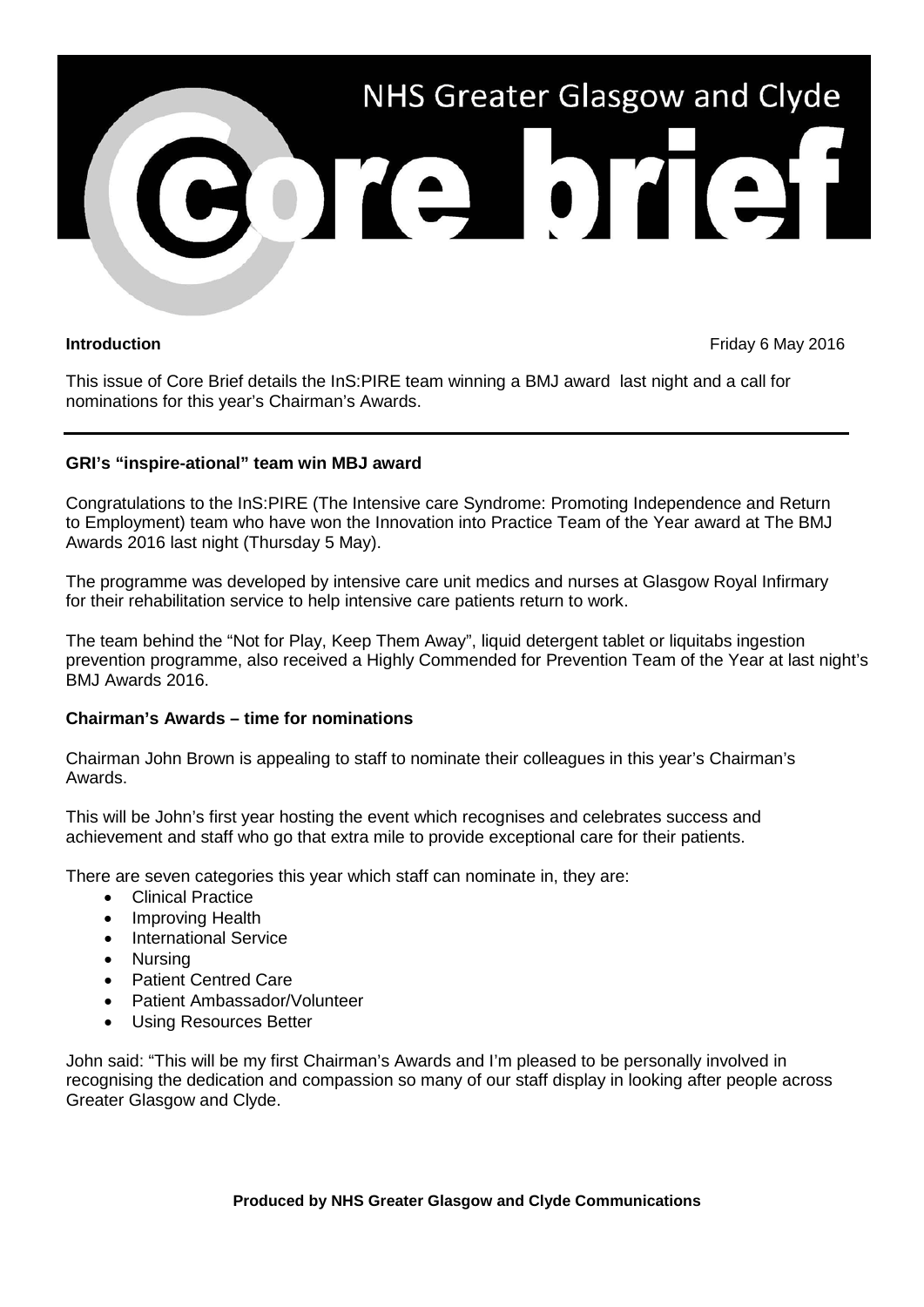

**Introduction Introduction Intervention** *Introduction Production Introduction* 

This issue of Core Brief details the InS:PIRE team winning a BMJ award last night and a call for nominations for this year's Chairman's Awards.

## **GRI's "inspire-ational" team win MBJ award**

Congratulations to the InS:PIRE (The Intensive care Syndrome: Promoting Independence and Return to Employment) team who have won the Innovation into Practice Team of the Year award at The BMJ Awards 2016 last night (Thursday 5 May).

The programme was developed by intensive care unit medics and nurses at Glasgow Royal Infirmary for their rehabilitation service to help intensive care patients return to work.

The team behind the "Not for Play, Keep Them Away", liquid detergent tablet or liquitabs ingestion prevention programme, also received a Highly Commended for Prevention Team of the Year at last night's BMJ Awards 2016.

## **Chairman's Awards – time for nominations**

Chairman John Brown is appealing to staff to nominate their colleagues in this year's Chairman's Awards.

This will be John's first year hosting the event which recognises and celebrates success and achievement and staff who go that extra mile to provide exceptional care for their patients.

There are seven categories this year which staff can nominate in, they are:

- Clinical Practice
- Improving Health
- International Service
- Nursing
- Patient Centred Care
- Patient Ambassador/Volunteer
- Using Resources Better

John said: "This will be my first Chairman's Awards and I'm pleased to be personally involved in recognising the dedication and compassion so many of our staff display in looking after people across Greater Glasgow and Clyde.